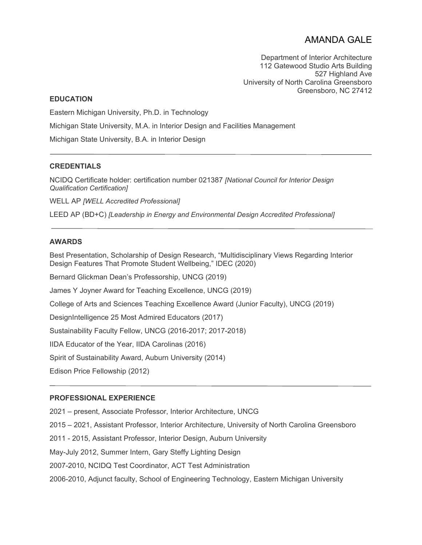# AMANDA GALE

Department of Interior Architecture 112 Gatewood Studio Arts Building 527 Highland Ave University of North Carolina Greensboro Greensboro, NC 27412

## **EDUCATION**

Eastern Michigan University, Ph.D. in Technology

Michigan State University, M.A. in Interior Design and Facilities Management

Michigan State University, B.A. in Interior Design

# **CREDENTIALS**

NCIDQ Certificate holder: certification number 021387 *[National Council for Interior Design Qualification Certification]* 

WELL AP *[WELL Accredited Professional]* 

LEED AP (BD+C) *[Leadership in Energy and Environmental Design Accredited Professional]*

## **AWARDS**

Best Presentation, Scholarship of Design Research, "Multidisciplinary Views Regarding Interior Design Features That Promote Student Wellbeing," IDEC (2020)

Bernard Glickman Dean's Professorship, UNCG (2019)

James Y Joyner Award for Teaching Excellence, UNCG (2019)

College of Arts and Sciences Teaching Excellence Award (Junior Faculty), UNCG (2019)

DesignIntelligence 25 Most Admired Educators (2017)

Sustainability Faculty Fellow, UNCG (2016-2017; 2017-2018)

IIDA Educator of the Year, IIDA Carolinas (2016)

Spirit of Sustainability Award, Auburn University (2014)

Edison Price Fellowship (2012)

#### **PROFESSIONAL EXPERIENCE**

2021 – present, Associate Professor, Interior Architecture, UNCG

2015 – 2021, Assistant Professor, Interior Architecture, University of North Carolina Greensboro

2011 - 2015, Assistant Professor, Interior Design, Auburn University

May-July 2012, Summer Intern, Gary Steffy Lighting Design

2007-2010, NCIDQ Test Coordinator, ACT Test Administration

2006-2010, Adjunct faculty, School of Engineering Technology, Eastern Michigan University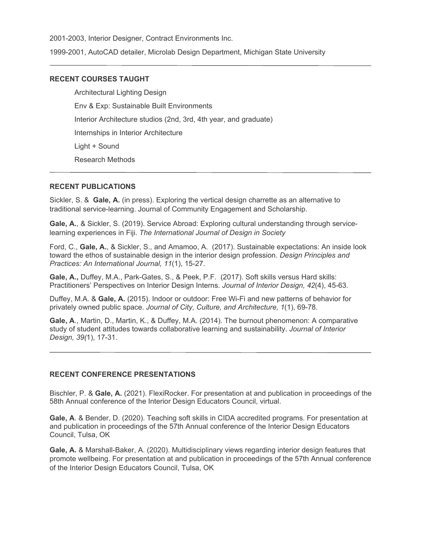2001-2003, Interior Designer, Contract Environments Inc.

1999-2001, AutoCAD detailer, Microlab Design Department, Michigan State University

# **RECENT COURSES TAUGHT**

Architectural Lighting Design Env & Exp: Sustainable Built Environments Interior Architecture studios (2nd, 3rd, 4th year, and graduate) Internships in Interior Architecture Light + Sound Research Methods

## **RECENT PUBLICATIONS**

Sickler, S. & **Gale, A.** (in press). Exploring the vertical design charrette as an alternative to traditional service-learning. Journal of Community Engagement and Scholarship.

**Gale, A.**, & Sickler, S. (2019). Service Abroad: Exploring cultural understanding through servicelearning experiences in Fiji. *The International Journal of Design in Society*

Ford, C., **Gale, A.**, & Sickler, S., and Amamoo, A. (2017). Sustainable expectations: An inside look toward the ethos of sustainable design in the interior design profession. *Design Principles and Practices: An International Journal, 11*(1), 15-27.

**Gale, A.,** Duffey, M.A., Park-Gates, S., & Peek, P.F. (2017). Soft skills versus Hard skills: Practitioners' Perspectives on Interior Design Interns. *Journal of Interior Design, 42*(4), 45-63.

Duffey, M.A. & **Gale, A.** (2015). Indoor or outdoor: Free Wi-Fi and new patterns of behavior for privately owned public space. *Journal of City, Culture, and Architecture, 1*(1), 69-78.

**Gale, A**., Martin, D., Martin, K., & Duffey, M.A. (2014). The burnout phenomenon: A comparative study of student attitudes towards collaborative learning and sustainability. *Journal of Interior Design, 39(*1), 17-31.

# **RECENT CONFERENCE PRESENTATIONS**

Bischler, P. & **Gale, A.** (2021). FlexiRocker. For presentation at and publication in proceedings of the 58th Annual conference of the Interior Design Educators Council, virtual.

**Gale, A**. & Bender, D. (2020). Teaching soft skills in CIDA accredited programs. For presentation at and publication in proceedings of the 57th Annual conference of the Interior Design Educators Council, Tulsa, OK

**Gale, A.** & Marshall-Baker, A. (2020). Multidisciplinary views regarding interior design features that promote wellbeing. For presentation at and publication in proceedings of the 57th Annual conference of the Interior Design Educators Council, Tulsa, OK